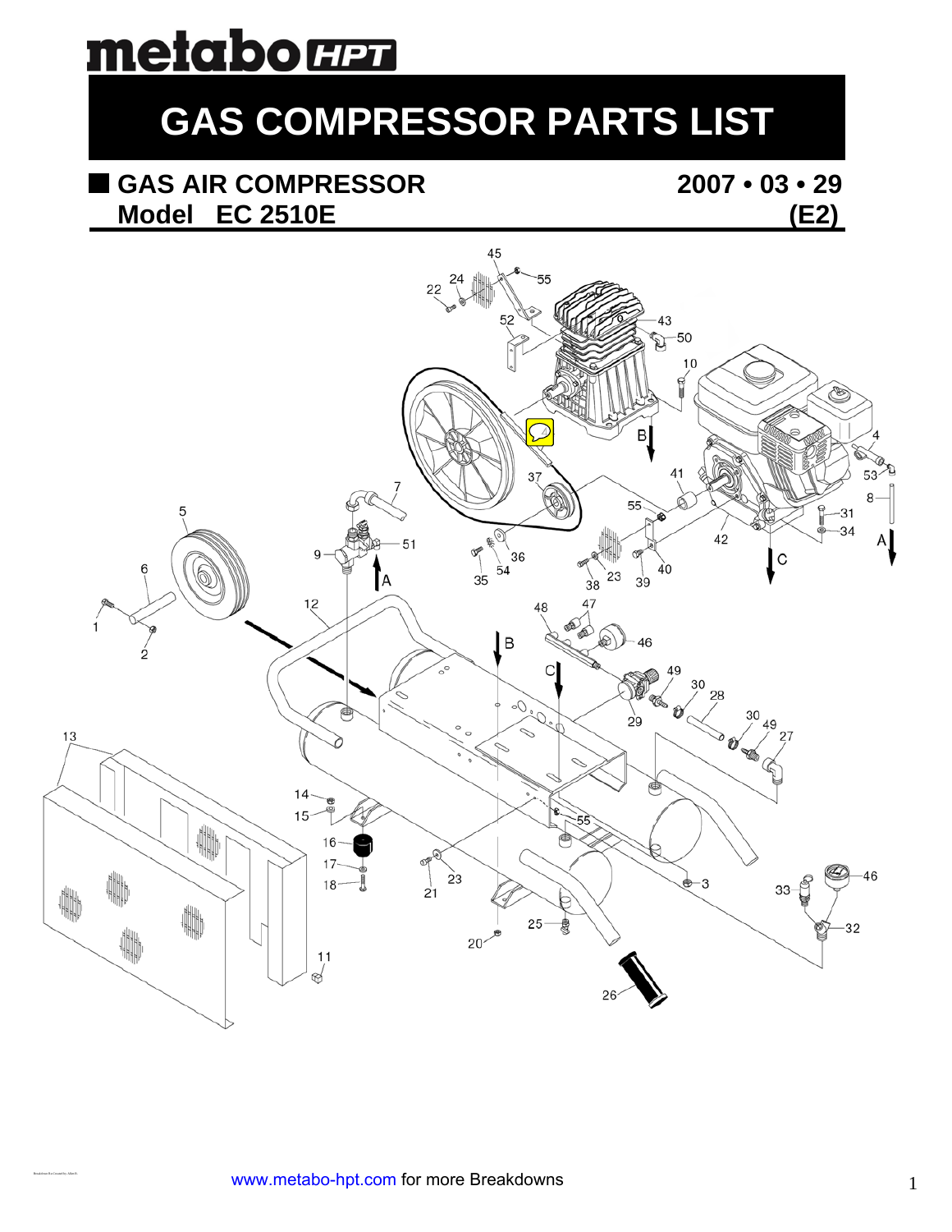# metaborm

## **GAS COMPRESSOR PARTS LIST**

#### **GAS AIR COMPRESSOR 2007 • 03 • 29 Model EC 2510E (E2)**



Breakdown Re-Created by Allen R.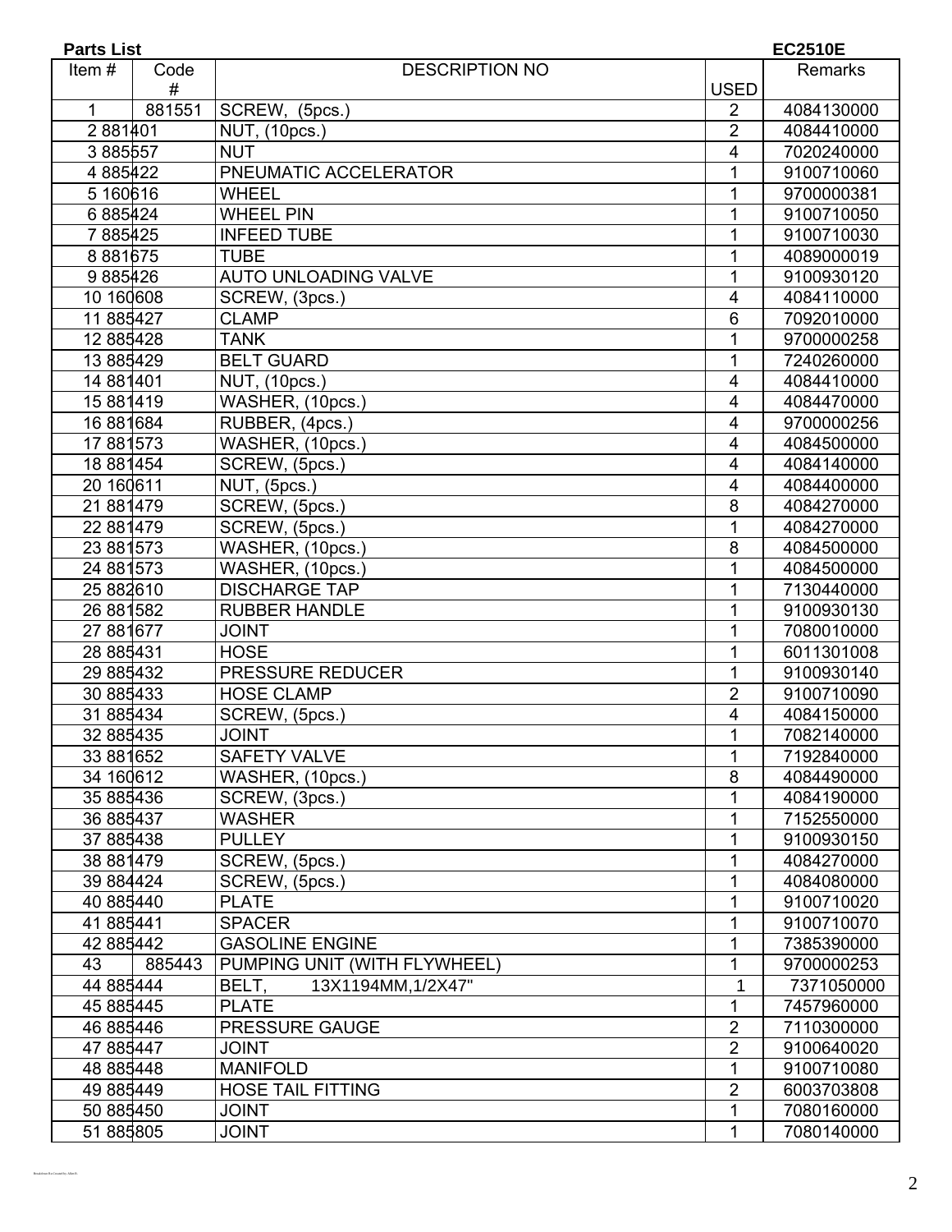| <b>Parts List</b><br><b>EC2510E</b> |           |                              |                 |            |  |
|-------------------------------------|-----------|------------------------------|-----------------|------------|--|
| Item#                               | Code<br># | <b>DESCRIPTION NO</b>        | <b>USED</b>     | Remarks    |  |
| $\mathbf{1}$                        | 881551    | SCREW, (5pcs.)               | 2               | 4084130000 |  |
| 2881401                             |           | NUT, (10pcs.)                | 2               | 4084410000 |  |
| 3885557                             |           | <b>NUT</b>                   | $\overline{4}$  | 7020240000 |  |
| 4 8 8 5 4 2 2                       |           | PNEUMATIC ACCELERATOR        | 1               | 9100710060 |  |
| 5160616                             |           | <b>WHEEL</b>                 | 1               | 9700000381 |  |
| 6 885424                            |           | <b>WHEEL PIN</b>             | 1               | 9100710050 |  |
| 7885425                             |           | <b>INFEED TUBE</b>           | 1               | 9100710030 |  |
| 8881675                             |           | <b>TUBE</b>                  | 1               | 4089000019 |  |
| 9 885426                            |           | <b>AUTO UNLOADING VALVE</b>  | 1               | 9100930120 |  |
| 10 160 608                          |           | SCREW, (3pcs.)               | 4               | 4084110000 |  |
| 11 885427                           |           | <b>CLAMP</b>                 | $6\phantom{1}6$ | 7092010000 |  |
| 12 885428                           |           | <b>TANK</b>                  | 1               | 9700000258 |  |
| 13 885429                           |           | <b>BELT GUARD</b>            | 1               | 7240260000 |  |
| 14 881 401                          |           | NUT, (10pcs.)                | 4               | 4084410000 |  |
| 15 881 419                          |           | WASHER, (10pcs.)             | 4               | 4084470000 |  |
| 16 881 684                          |           | RUBBER, (4pcs.)              | 4               | 9700000256 |  |
| 17 881 573                          |           | WASHER, (10pcs.)             | 4               | 4084500000 |  |
| 18 881 454                          |           | SCREW, (5pcs.)               | 4               | 4084140000 |  |
| 20 160611                           |           | NUT, (5pcs.)                 | 4               | 4084400000 |  |
| 21 881 479                          |           | SCREW, (5pcs.)               | 8               | 4084270000 |  |
| 22 881479                           |           | SCREW, (5pcs.)               | 1               | 4084270000 |  |
| 23 881 573                          |           | WASHER, (10pcs.)             | 8               | 4084500000 |  |
| 24 881573                           |           | WASHER, (10pcs.)             | 1               | 4084500000 |  |
| 25 882610                           |           | <b>DISCHARGE TAP</b>         | 1               | 7130440000 |  |
| 26 881 582                          |           | <b>RUBBER HANDLE</b>         | 1               | 9100930130 |  |
| 27 881 677                          |           | <b>JOINT</b>                 | 1               | 7080010000 |  |
| 28 885431                           |           | <b>HOSE</b>                  | 1               | 6011301008 |  |
| 29 885432                           |           | PRESSURE REDUCER             | $\mathbf 1$     | 9100930140 |  |
| 30 885433                           |           | <b>HOSE CLAMP</b>            | $\overline{2}$  | 9100710090 |  |
| 31 885434                           |           | SCREW, (5pcs.)               | 4               | 4084150000 |  |
| 32 885435                           |           | <b>JOINT</b>                 | 1               | 7082140000 |  |
| 33 881 652                          |           | <b>SAFETY VALVE</b>          | 1               | 7192840000 |  |
| 34 160 612                          |           | WASHER, (10pcs.)             | 8               | 4084490000 |  |
| 35 885436                           |           | SCREW, (3pcs.)               | 1               | 4084190000 |  |
| 36 885437                           |           | <b>WASHER</b>                | 1               | 7152550000 |  |
| 37 885438                           |           | <b>PULLEY</b>                | 1               | 9100930150 |  |
| 38 881 479                          |           | SCREW, (5pcs.)               | 1               | 4084270000 |  |
| 39 884424                           |           | SCREW, (5pcs.)               | 1               | 4084080000 |  |
| 40 885440                           |           | <b>PLATE</b>                 | 1               | 9100710020 |  |
| 41 885441                           |           | <b>SPACER</b>                | 1               | 9100710070 |  |
| 42 885442                           |           | <b>GASOLINE ENGINE</b>       | 1               | 7385390000 |  |
| 43                                  | 885443    | PUMPING UNIT (WITH FLYWHEEL) | 1               | 9700000253 |  |
| 44 885444                           |           | BELT,<br>13X1194MM, 1/2X47"  | 1               | 7371050000 |  |
| 45 885445                           |           | <b>PLATE</b>                 | 1               | 7457960000 |  |
| 46 885446                           |           | PRESSURE GAUGE               | $\overline{2}$  | 7110300000 |  |
| 47 885447                           |           | <b>JOINT</b>                 | $\overline{2}$  | 9100640020 |  |
| 48 885448                           |           | <b>MANIFOLD</b>              | 1               | 9100710080 |  |
| 49 885449                           |           | <b>HOSE TAIL FITTING</b>     | $\overline{2}$  | 6003703808 |  |
| 50 885450                           |           | <b>JOINT</b>                 | 1               | 7080160000 |  |
| 51 885805                           |           | <b>JOINT</b>                 | 1               | 7080140000 |  |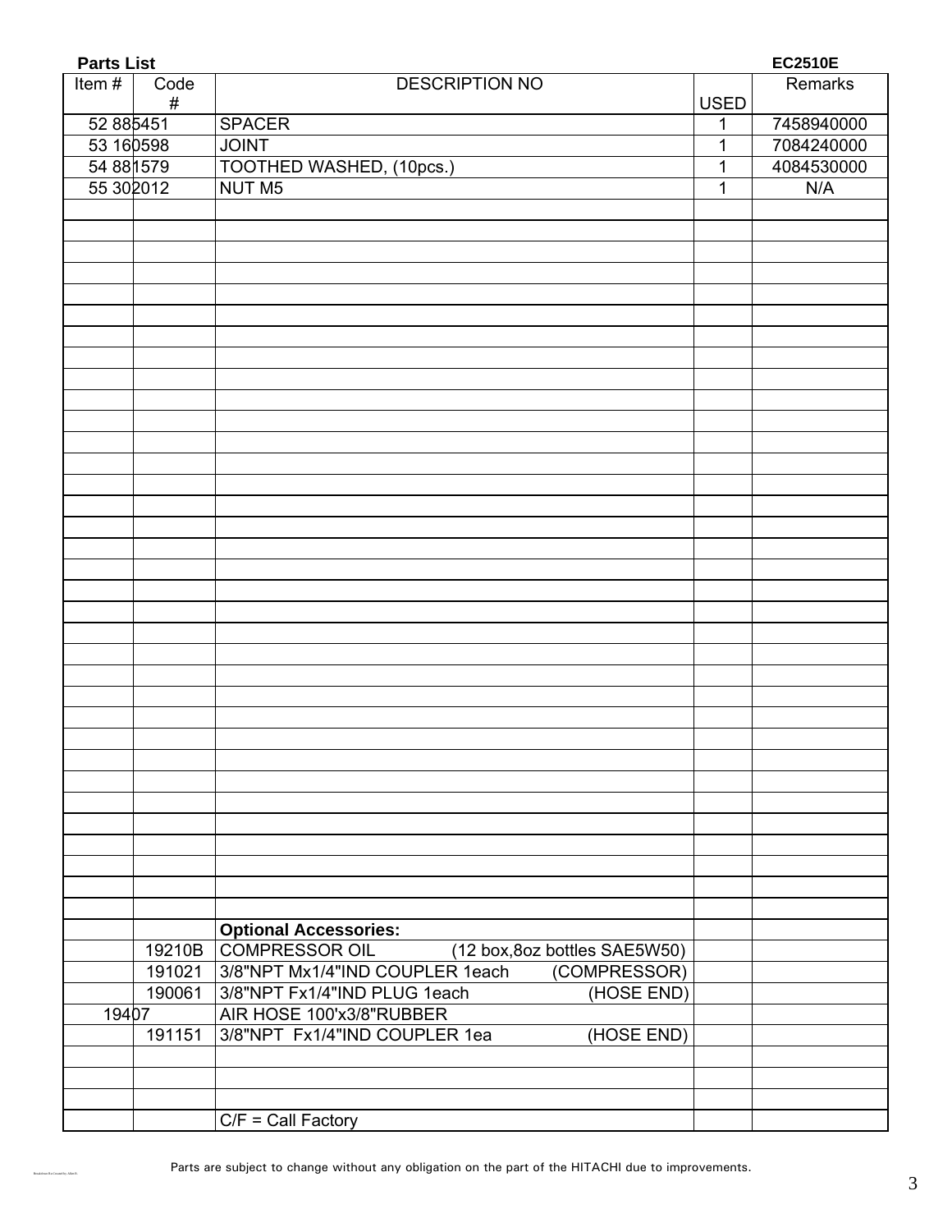| <b>Parts List</b> | <b>EC2510E</b> |                                                        |             |            |
|-------------------|----------------|--------------------------------------------------------|-------------|------------|
| Item#             | Code<br>#      | <b>DESCRIPTION NO</b>                                  | <b>USED</b> | Remarks    |
| 52 88 5451        |                | <b>SPACER</b>                                          | 1           | 7458940000 |
| 53 16 0598        |                | <b>JOINT</b>                                           | 1           | 7084240000 |
| 54 88 1579        |                | TOOTHED WASHED, (10pcs.)                               | 1           | 4084530000 |
| 55 30 2012        |                | <b>NUT M5</b>                                          | 1           | N/A        |
|                   |                |                                                        |             |            |
|                   |                |                                                        |             |            |
|                   |                |                                                        |             |            |
|                   |                |                                                        |             |            |
|                   |                |                                                        |             |            |
|                   |                |                                                        |             |            |
|                   |                |                                                        |             |            |
|                   |                |                                                        |             |            |
|                   |                |                                                        |             |            |
|                   |                |                                                        |             |            |
|                   |                |                                                        |             |            |
|                   |                |                                                        |             |            |
|                   |                |                                                        |             |            |
|                   |                |                                                        |             |            |
|                   |                |                                                        |             |            |
|                   |                |                                                        |             |            |
|                   |                |                                                        |             |            |
|                   |                |                                                        |             |            |
|                   |                |                                                        |             |            |
|                   |                |                                                        |             |            |
|                   |                |                                                        |             |            |
|                   |                |                                                        |             |            |
|                   |                |                                                        |             |            |
|                   |                |                                                        |             |            |
|                   |                |                                                        |             |            |
|                   |                |                                                        |             |            |
|                   |                |                                                        |             |            |
|                   |                |                                                        |             |            |
|                   |                |                                                        |             |            |
|                   |                |                                                        |             |            |
|                   |                |                                                        |             |            |
|                   |                |                                                        |             |            |
|                   |                |                                                        |             |            |
|                   |                |                                                        |             |            |
|                   |                | <b>Optional Accessories:</b>                           |             |            |
|                   |                | 19210B COMPRESSOR OIL<br>(12 box, 8oz bottles SAE5W50) |             |            |
|                   | 191021         | 3/8"NPT Mx1/4"IND COUPLER 1each<br>(COMPRESSOR)        |             |            |
|                   | 190061         | (HOSE END)<br>3/8"NPT Fx1/4"IND PLUG 1each             |             |            |
| 19407             |                | AIR HOSE 100'x3/8"RUBBER                               |             |            |
|                   | 191151         | 3/8"NPT Fx1/4"IND COUPLER 1ea<br>(HOSE END)            |             |            |
|                   |                |                                                        |             |            |
|                   |                |                                                        |             |            |
|                   |                |                                                        |             |            |
|                   |                | $C/F =$ Call Factory                                   |             |            |

Breakdown Re-Created by Allen R.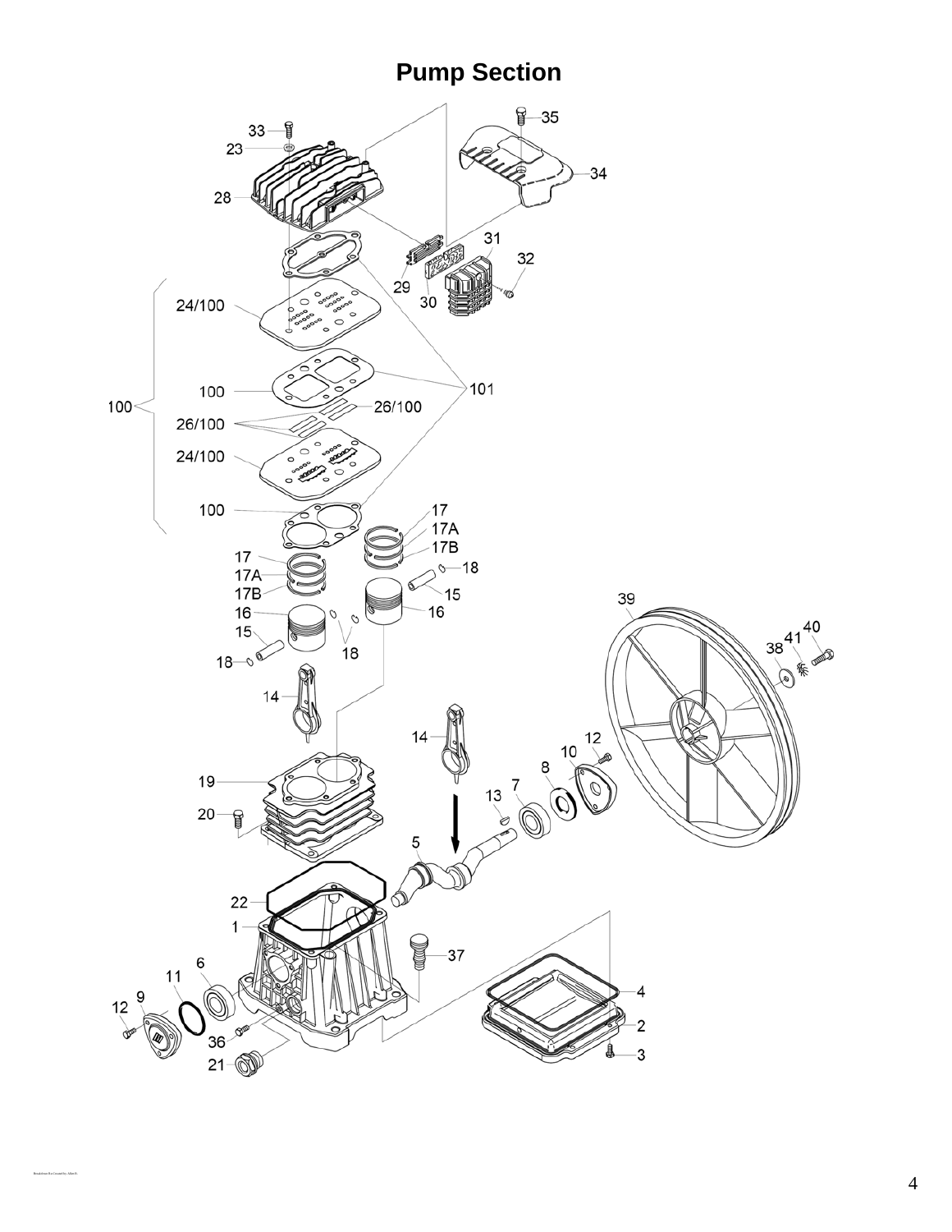### **Pump Section**



Breakdown Re-Created by Allen R.